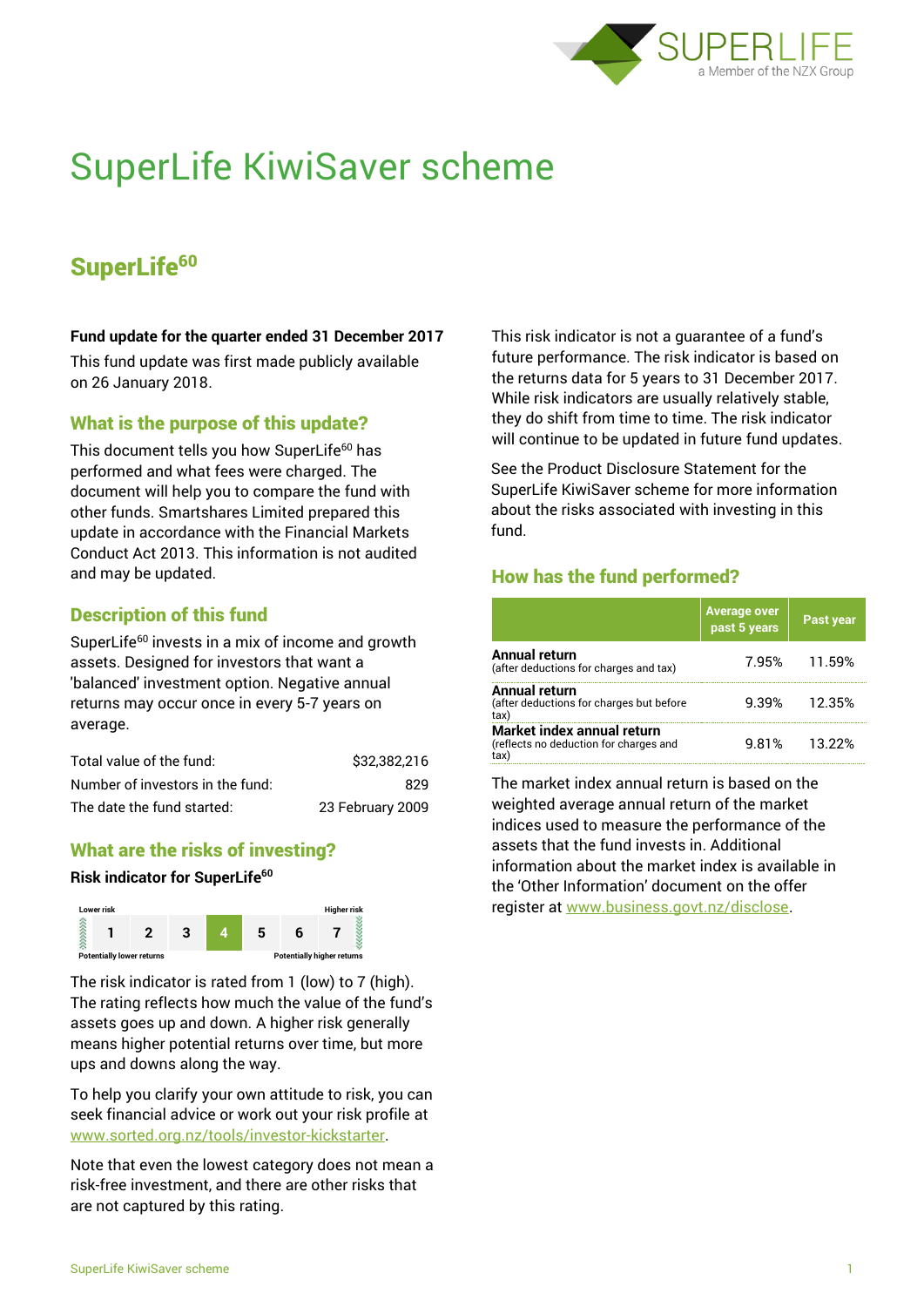

# SuperLife KiwiSaver scheme

# SuperLife<sup>60</sup>

#### **Fund update for the quarter ended 31 December 2017**

This fund update was first made publicly available on 26 January 2018.

#### What is the purpose of this update?

This document tells you how SuperLife<sup>60</sup> has performed and what fees were charged. The document will help you to compare the fund with other funds. Smartshares Limited prepared this update in accordance with the Financial Markets Conduct Act 2013. This information is not audited and may be updated.

# Description of this fund

SuperLife<sup>60</sup> invests in a mix of income and growth assets. Designed for investors that want a 'balanced' investment option. Negative annual returns may occur once in every 5-7 years on average.

| Total value of the fund:         | \$32,382,216     |
|----------------------------------|------------------|
| Number of investors in the fund: | 829              |
| The date the fund started:       | 23 February 2009 |

# What are the risks of investing?

#### **Risk indicator for SuperLife<sup>60</sup>**



The risk indicator is rated from 1 (low) to 7 (high). The rating reflects how much the value of the fund's assets goes up and down. A higher risk generally means higher potential returns over time, but more ups and downs along the way.

To help you clarify your own attitude to risk, you can seek financial advice or work out your risk profile at [www.sorted.org.nz/tools/investor-kickstarter.](http://www.sorted.org.nz/tools/investor-kickstarter)

Note that even the lowest category does not mean a risk-free investment, and there are other risks that are not captured by this rating.

This risk indicator is not a guarantee of a fund's future performance. The risk indicator is based on the returns data for 5 years to 31 December 2017. While risk indicators are usually relatively stable, they do shift from time to time. The risk indicator will continue to be updated in future fund updates.

See the Product Disclosure Statement for the SuperLife KiwiSaver scheme for more information about the risks associated with investing in this fund.

# How has the fund performed?

|                                                                      | Average over<br>past 5 years | <b>Past year</b> |
|----------------------------------------------------------------------|------------------------------|------------------|
| <b>Annual return</b><br>(after deductions for charges and tax)       |                              | 7.95% 11.59%     |
| Annual return<br>(after deductions for charges but before<br>tax)    | 9.39%                        | 12.35%           |
| Market index annual return<br>(reflects no deduction for charges and | 9.81%                        | 13.22%           |

The market index annual return is based on the weighted average annual return of the market indices used to measure the performance of the assets that the fund invests in. Additional information about the market index is available in the 'Other Information' document on the offer register at www.business.govt.nz/disclose.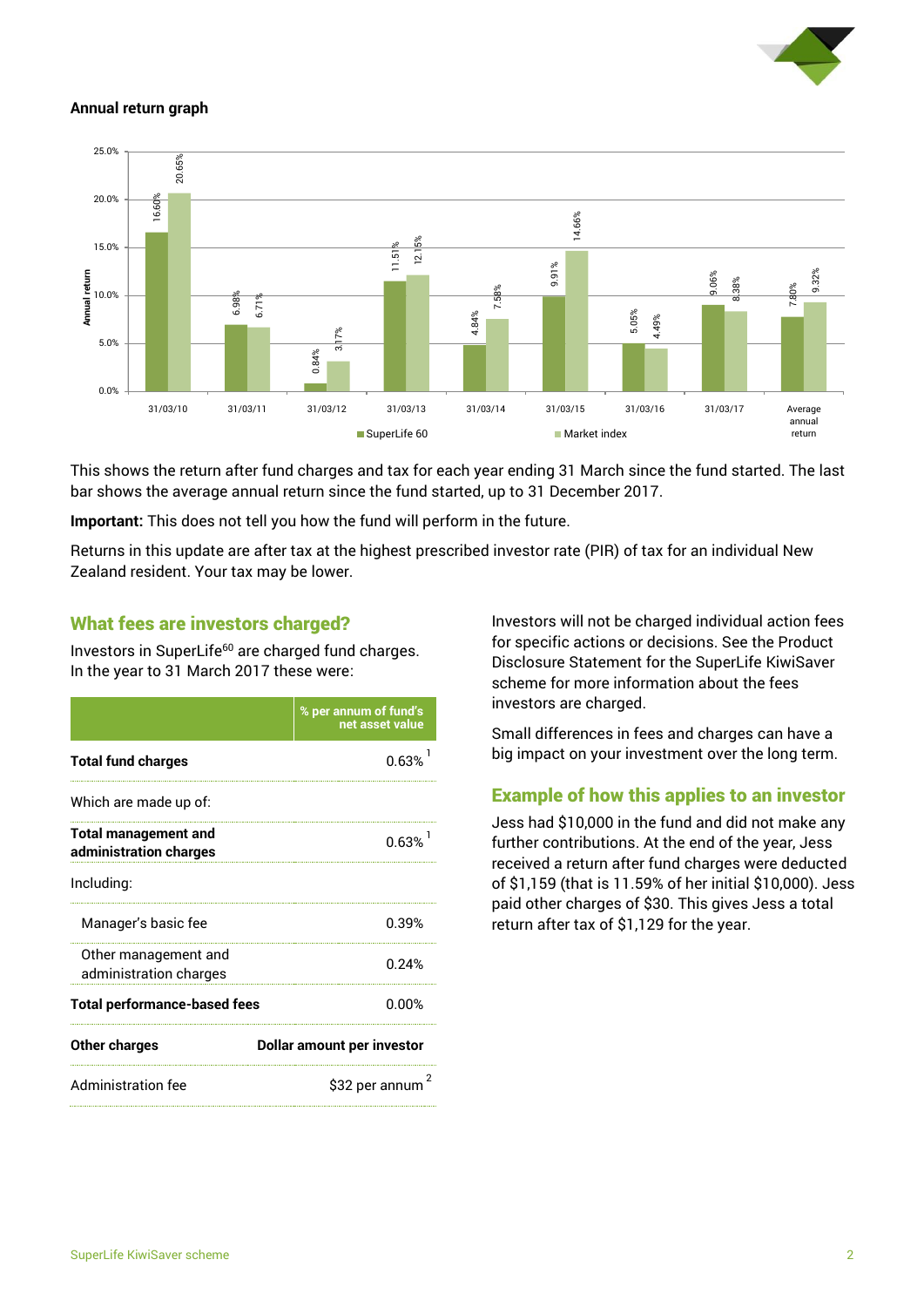

#### **Annual return graph**



This shows the return after fund charges and tax for each year ending 31 March since the fund started. The last bar shows the average annual return since the fund started, up to 31 December 2017.

**Important:** This does not tell you how the fund will perform in the future.

Returns in this update are after tax at the highest prescribed investor rate (PIR) of tax for an individual New Zealand resident. Your tax may be lower.

### What fees are investors charged?

Investors in SuperLife<sup>60</sup> are charged fund charges. In the year to 31 March 2017 these were:

|                                                       | % per annum of fund's<br>net asset value |  |
|-------------------------------------------------------|------------------------------------------|--|
| <b>Total fund charges</b>                             | 0.63%                                    |  |
| Which are made up of:                                 |                                          |  |
| <b>Total management and</b><br>administration charges | 0.63%                                    |  |
| Including:                                            |                                          |  |
| Manager's basic fee                                   | 0.39%                                    |  |
| Other management and<br>administration charges        | 0.24%                                    |  |
| <b>Total performance-based fees</b>                   | 0.00%                                    |  |
| <b>Other charges</b>                                  | <b>Dollar amount per investor</b>        |  |
| <b>Administration fee</b>                             | \$32 per annum                           |  |

Investors will not be charged individual action fees for specific actions or decisions. See the Product Disclosure Statement for the SuperLife KiwiSaver scheme for more information about the fees investors are charged.

Small differences in fees and charges can have a big impact on your investment over the long term.

# Example of how this applies to an investor

Jess had \$10,000 in the fund and did not make any further contributions. At the end of the year, Jess received a return after fund charges were deducted of \$1,159 (that is 11.59% of her initial \$10,000). Jess paid other charges of \$30. This gives Jess a total return after tax of \$1,129 for the year.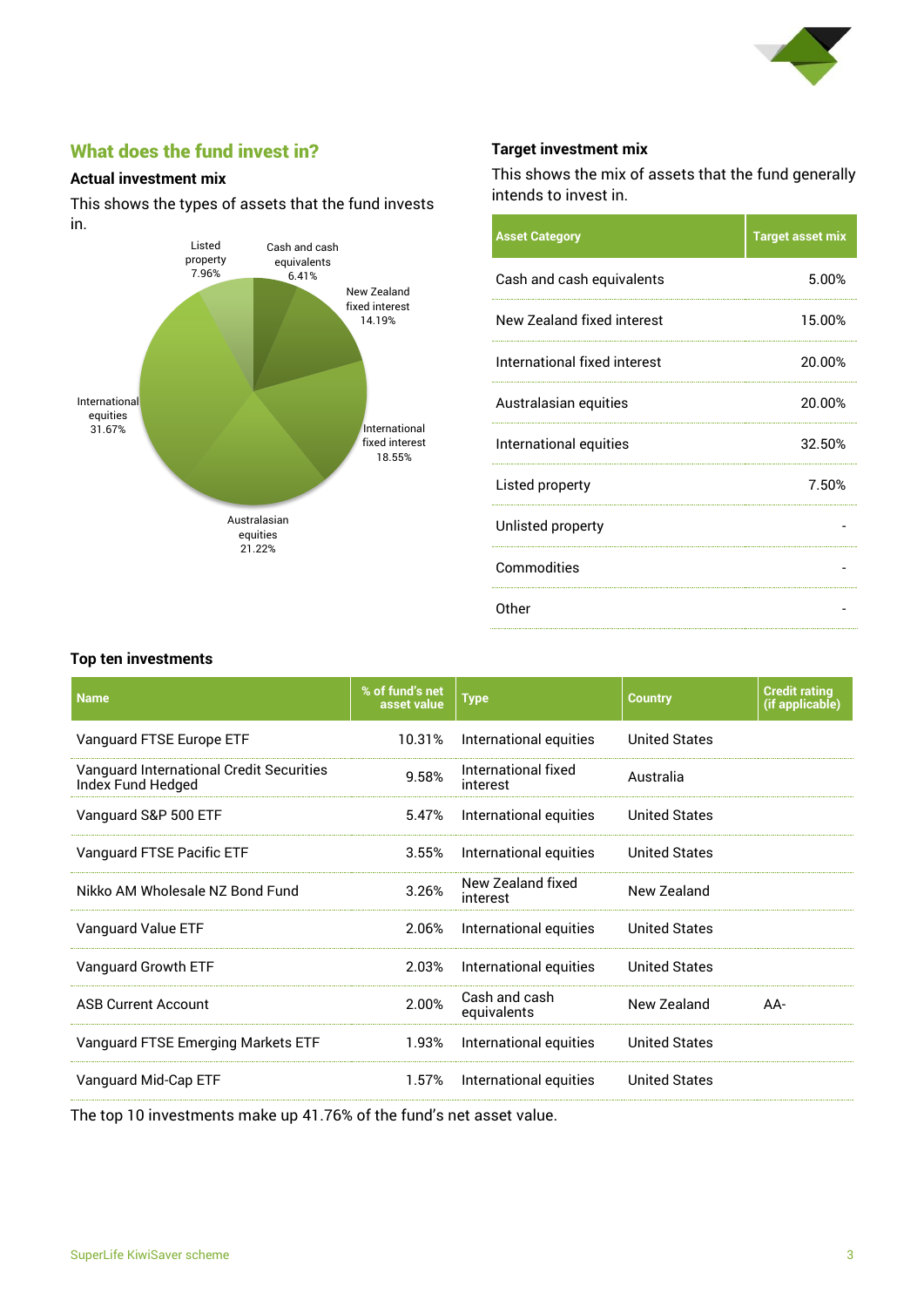

# What does the fund invest in?

#### **Actual investment mix**

This shows the types of assets that the fund invests in.



#### **Target investment mix**

This shows the mix of assets that the fund generally intends to invest in.

| <b>Asset Category</b>        | <b>Target asset mix</b> |
|------------------------------|-------------------------|
| Cash and cash equivalents    | 5.00%                   |
| New Zealand fixed interest   | 15.00%                  |
| International fixed interest | 20.00%                  |
| Australasian equities        | 20.00%                  |
| International equities       | 32.50%                  |
| Listed property              | 7.50%                   |
| Unlisted property            |                         |
| Commodities                  |                         |
| Other                        |                         |

#### **Top ten investments**

| <b>Name</b>                                                          | % of fund's net<br>asset value | <b>Type</b>                     | <b>Country</b>       | <b>Credit rating</b><br>(if applicable) |
|----------------------------------------------------------------------|--------------------------------|---------------------------------|----------------------|-----------------------------------------|
| Vanguard FTSE Europe ETF                                             | 10.31%                         | International equities          | <b>United States</b> |                                         |
| <b>Vanguard International Credit Securities</b><br>Index Fund Hedged | 9.58%                          | International fixed<br>interest | Australia            |                                         |
| Vanguard S&P 500 ETF                                                 | 5.47%                          | International equities          | <b>United States</b> |                                         |
| Vanguard FTSE Pacific ETF                                            | 3.55%                          | International equities          | <b>United States</b> |                                         |
| Nikko AM Wholesale NZ Bond Fund                                      | 3.26%                          | New Zealand fixed<br>interest   | New Zealand          |                                         |
| Vanguard Value ETF                                                   | 2.06%                          | International equities          | <b>United States</b> |                                         |
| Vanguard Growth ETF                                                  | 2.03%                          | International equities          | <b>United States</b> |                                         |
| <b>ASB Current Account</b>                                           | 2.00%                          | Cash and cash<br>equivalents    | New Zealand          | $AA-$                                   |
| Vanguard FTSE Emerging Markets ETF                                   | 1.93%                          | International equities          | <b>United States</b> |                                         |
| Vanguard Mid-Cap ETF                                                 | 1.57%                          | International equities          | <b>United States</b> |                                         |

The top 10 investments make up 41.76% of the fund's net asset value.